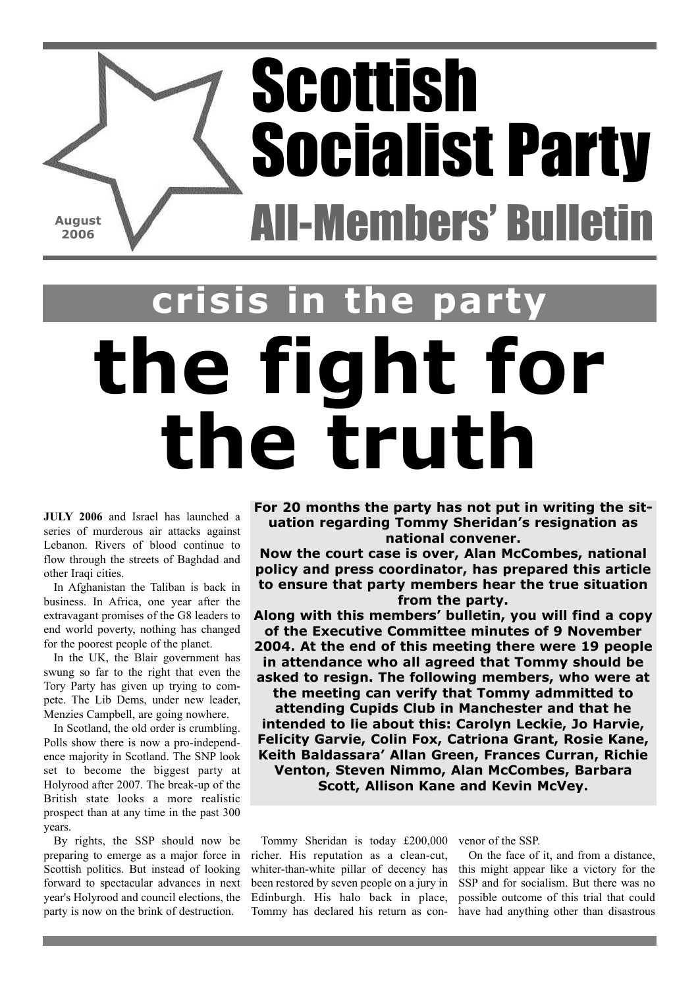## Scottish Socialist Party All-Members' Bulletin **August 2006**

## **the fight for the truth s** in the pa

**JULY 2006** and Israel has launched a series of murderous air attacks against Lebanon. Rivers of blood continue to flow through the streets of Baghdad and other Iraqi cities.

In Afghanistan the Taliban is back in business. In Africa, one year after the extravagant promises of the G8 leaders to end world poverty, nothing has changed for the poorest people of the planet.

In the UK, the Blair government has swung so far to the right that even the Tory Party has given up trying to compete. The Lib Dems, under new leader, Menzies Campbell, are going nowhere.

In Scotland, the old order is crumbling. Polls show there is now a pro-independence majority in Scotland. The SNP look set to become the biggest party at Holyrood after 2007. The break-up of the British state looks a more realistic prospect than at any time in the past 300 years.

By rights, the SSP should now be preparing to emerge as a major force in Scottish politics. But instead of looking forward to spectacular advances in next year's Holyrood and council elections, the party is now on the brink of destruction.

**For 20 months the party has not put in writing the situation regarding Tommy Sheridan's resignation as national convener.**

**Now the court case is over, Alan McCombes, national policy and press coordinator, has prepared this article to ensure that party members hear the true situation from the party.**

**Along with this members' bulletin, you will find a copy of the Executive Committee minutes of 9 November 2004. At the end of this meeting there were 19 people in attendance who all agreed that Tommy should be asked to resign. The following members, who were at the meeting can verify that Tommy admmitted to attending Cupids Club in Manchester and that he intended to lie about this: Carolyn Leckie, Jo Harvie, Felicity Garvie, Colin Fox, Catriona Grant, Rosie Kane, Keith Baldassara' Allan Green, Frances Curran, Richie Venton, Steven Nimmo, Alan McCombes, Barbara**

**Scott, Allison Kane and Kevin McVey.**

Tommy Sheridan is today £200,000 venor of the SSP. richer. His reputation as a clean-cut, whiter-than-white pillar of decency has been restored by seven people on a jury in Edinburgh. His halo back in place, Tommy has declared his return as con-

On the face of it, and from a distance, this might appear like a victory for the SSP and for socialism. But there was no possible outcome of this trial that could have had anything other than disastrous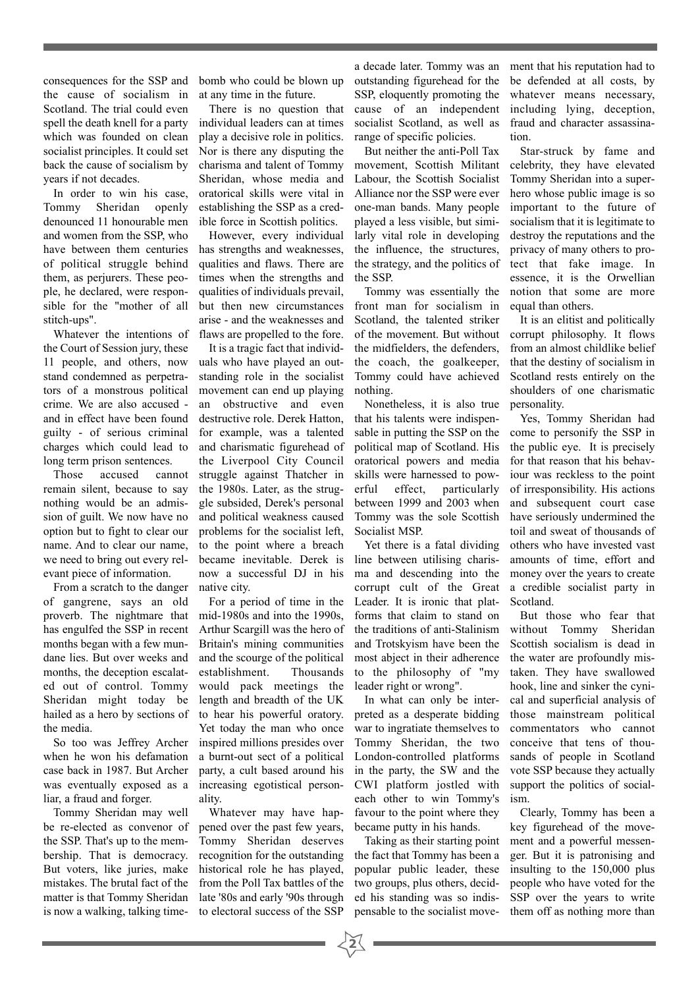consequences for the SSP and the cause of socialism in Scotland. The trial could even spell the death knell for a party which was founded on clean socialist principles. It could set back the cause of socialism by years if not decades.

In order to win his case, Tommy Sheridan openly denounced 11 honourable men and women from the SSP, who have between them centuries of political struggle behind them, as perjurers. These people, he declared, were responsible for the "mother of all stitch-ups".

Whatever the intentions of the Court of Session jury, these 11 people, and others, now stand condemned as perpetrators of a monstrous political crime. We are also accused and in effect have been found guilty - of serious criminal charges which could lead to long term prison sentences.

Those accused cannot remain silent, because to say nothing would be an admission of guilt. We now have no option but to fight to clear our name. And to clear our name, we need to bring out every relevant piece of information.

From a scratch to the danger of gangrene, says an old proverb. The nightmare that has engulfed the SSP in recent months began with a few mundane lies. But over weeks and months, the deception escalated out of control. Tommy Sheridan might today be hailed as a hero by sections of the media.

So too was Jeffrey Archer when he won his defamation case back in 1987. But Archer was eventually exposed as a liar, a fraud and forger.

Tommy Sheridan may well be re-elected as convenor of the SSP. That's up to the membership. That is democracy. But voters, like juries, make mistakes. The brutal fact of the matter is that Tommy Sheridan is now a walking, talking timebomb who could be blown up at any time in the future.

There is no question that individual leaders can at times play a decisive role in politics. Nor is there any disputing the charisma and talent of Tommy Sheridan, whose media and oratorical skills were vital in establishing the SSP as a credible force in Scottish politics.

However, every individual has strengths and weaknesses, qualities and flaws. There are times when the strengths and qualities of individuals prevail, but then new circumstances arise - and the weaknesses and flaws are propelled to the fore.

It is a tragic fact that individuals who have played an outstanding role in the socialist movement can end up playing an obstructive and even destructive role. Derek Hatton, for example, was a talented and charismatic figurehead of the Liverpool City Council struggle against Thatcher in the 1980s. Later, as the struggle subsided, Derek's personal and political weakness caused problems for the socialist left, to the point where a breach became inevitable. Derek is now a successful DJ in his native city.

For a period of time in the mid-1980s and into the 1990s, Arthur Scargill was the hero of Britain's mining communities and the scourge of the political establishment. Thousands would pack meetings the length and breadth of the UK to hear his powerful oratory. Yet today the man who once inspired millions presides over a burnt-out sect of a political party, a cult based around his increasing egotistical personality.

Whatever may have happened over the past few years, Tommy Sheridan deserves recognition for the outstanding historical role he has played, from the Poll Tax battles of the late '80s and early '90s through to electoral success of the SSP

a decade later. Tommy was an outstanding figurehead for the SSP, eloquently promoting the cause of an independent socialist Scotland, as well as range of specific policies.

But neither the anti-Poll Tax movement, Scottish Militant Labour, the Scottish Socialist Alliance nor the SSP were ever one-man bands. Many people played a less visible, but similarly vital role in developing the influence, the structures, the strategy, and the politics of the SSP.

Tommy was essentially the front man for socialism in Scotland, the talented striker of the movement. But without the midfielders, the defenders, the coach, the goalkeeper, Tommy could have achieved nothing.

Nonetheless, it is also true that his talents were indispensable in putting the SSP on the political map of Scotland. His oratorical powers and media skills were harnessed to powerful effect, particularly between 1999 and 2003 when Tommy was the sole Scottish Socialist MSP.

Yet there is a fatal dividing line between utilising charisma and descending into the corrupt cult of the Great Leader. It is ironic that platforms that claim to stand on the traditions of anti-Stalinism and Trotskyism have been the most abject in their adherence to the philosophy of "my leader right or wrong".

In what can only be interpreted as a desperate bidding war to ingratiate themselves to Tommy Sheridan, the two London-controlled platforms in the party, the SW and the CWI platform jostled with each other to win Tommy's favour to the point where they became putty in his hands.

Taking as their starting point the fact that Tommy has been a popular public leader, these two groups, plus others, decided his standing was so indispensable to the socialist move-

 $\frac{1}{2}$ 

ment that his reputation had to be defended at all costs, by whatever means necessary, including lying, deception, fraud and character assassination.

Star-struck by fame and celebrity, they have elevated Tommy Sheridan into a superhero whose public image is so important to the future of socialism that it is legitimate to destroy the reputations and the privacy of many others to protect that fake image. In essence, it is the Orwellian notion that some are more equal than others.

It is an elitist and politically corrupt philosophy. It flows from an almost childlike belief that the destiny of socialism in Scotland rests entirely on the shoulders of one charismatic personality.

Yes, Tommy Sheridan had come to personify the SSP in the public eye. It is precisely for that reason that his behaviour was reckless to the point of irresponsibility. His actions and subsequent court case have seriously undermined the toil and sweat of thousands of others who have invested vast amounts of time, effort and money over the years to create a credible socialist party in Scotland.

But those who fear that without Tommy Sheridan Scottish socialism is dead in the water are profoundly mistaken. They have swallowed hook, line and sinker the cynical and superficial analysis of those mainstream political commentators who cannot conceive that tens of thousands of people in Scotland vote SSP because they actually support the politics of socialism.

Clearly, Tommy has been a key figurehead of the movement and a powerful messenger. But it is patronising and insulting to the 150,000 plus people who have voted for the SSP over the years to write them off as nothing more than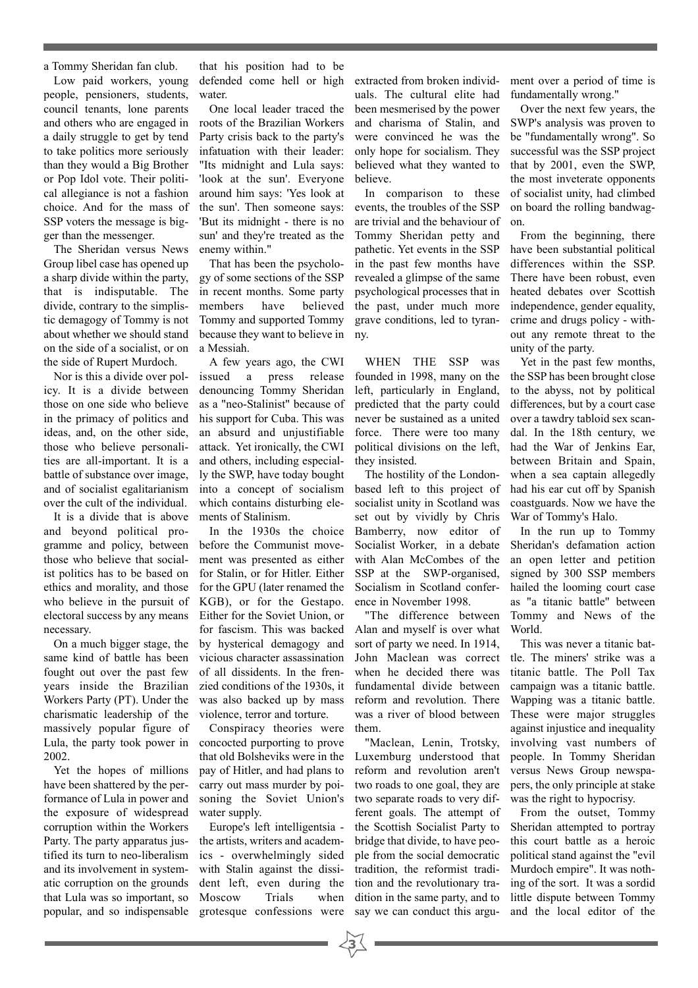a Tommy Sheridan fan club.

Low paid workers, young people, pensioners, students, council tenants, lone parents and others who are engaged in a daily struggle to get by tend to take politics more seriously than they would a Big Brother or Pop Idol vote. Their political allegiance is not a fashion choice. And for the mass of SSP voters the message is bigger than the messenger.

The Sheridan versus News Group libel case has opened up a sharp divide within the party, that is indisputable. The divide, contrary to the simplistic demagogy of Tommy is not about whether we should stand on the side of a socialist, or on the side of Rupert Murdoch.

Nor is this a divide over policy. It is a divide between those on one side who believe in the primacy of politics and ideas, and, on the other side, those who believe personalities are all-important. It is a battle of substance over image, and of socialist egalitarianism over the cult of the individual.

It is a divide that is above and beyond political programme and policy, between those who believe that socialist politics has to be based on ethics and morality, and those who believe in the pursuit of electoral success by any means necessary.

On a much bigger stage, the same kind of battle has been fought out over the past few years inside the Brazilian Workers Party (PT). Under the charismatic leadership of the massively popular figure of Lula, the party took power in 2002.

Yet the hopes of millions have been shattered by the performance of Lula in power and the exposure of widespread corruption within the Workers Party. The party apparatus justified its turn to neo-liberalism and its involvement in systematic corruption on the grounds that Lula was so important, so popular, and so indispensable

that his position had to be defended come hell or high water

One local leader traced the roots of the Brazilian Workers Party crisis back to the party's infatuation with their leader: "Its midnight and Lula says: 'look at the sun'. Everyone around him says: 'Yes look at the sun'. Then someone says: 'But its midnight - there is no sun' and they're treated as the enemy within."

That has been the psychology of some sections of the SSP in recent months. Some party members have believed Tommy and supported Tommy because they want to believe in a Messiah.

A few years ago, the CWI issued a press release denouncing Tommy Sheridan as a "neo-Stalinist" because of his support for Cuba. This was an absurd and unjustifiable attack. Yet ironically, the CWI and others, including especially the SWP, have today bought into a concept of socialism which contains disturbing elements of Stalinism.

In the 1930s the choice before the Communist movement was presented as either for Stalin, or for Hitler. Either for the GPU (later renamed the KGB), or for the Gestapo. Either for the Soviet Union, or for fascism. This was backed by hysterical demagogy and vicious character assassination of all dissidents. In the frenzied conditions of the 1930s, it was also backed up by mass violence, terror and torture.

Conspiracy theories were concocted purporting to prove that old Bolsheviks were in the pay of Hitler, and had plans to carry out mass murder by poisoning the Soviet Union's water supply.

Europe's left intelligentsia the artists, writers and academics - overwhelmingly sided with Stalin against the dissident left, even during the Moscow Trials when grotesque confessions were

**3**

extracted from broken individuals. The cultural elite had been mesmerised by the power and charisma of Stalin, and were convinced he was the only hope for socialism. They believed what they wanted to believe.

In comparison to these events, the troubles of the SSP are trivial and the behaviour of Tommy Sheridan petty and pathetic. Yet events in the SSP in the past few months have revealed a glimpse of the same psychological processes that in the past, under much more grave conditions, led to tyranny.

WHEN THE SSP was founded in 1998, many on the left, particularly in England, predicted that the party could never be sustained as a united force. There were too many political divisions on the left, they insisted.

The hostility of the Londonbased left to this project of socialist unity in Scotland was set out by vividly by Chris Bamberry, now editor of Socialist Worker, in a debate with Alan McCombes of the SSP at the SWP-organised. Socialism in Scotland conference in November 1998.

"The difference between Alan and myself is over what sort of party we need. In 1914, John Maclean was correct when he decided there was fundamental divide between reform and revolution. There was a river of blood between them.

"Maclean, Lenin, Trotsky, Luxemburg understood that reform and revolution aren't two roads to one goal, they are two separate roads to very different goals. The attempt of the Scottish Socialist Party to bridge that divide, to have people from the social democratic tradition, the reformist tradition and the revolutionary tradition in the same party, and to say we can conduct this argument over a period of time is fundamentally wrong."

Over the next few years, the SWP's analysis was proven to be "fundamentally wrong". So successful was the SSP project that by 2001, even the SWP, the most inveterate opponents of socialist unity, had climbed on board the rolling bandwagon.

From the beginning, there have been substantial political differences within the SSP. There have been robust, even heated debates over Scottish independence, gender equality, crime and drugs policy - without any remote threat to the unity of the party.

Yet in the past few months, the SSP has been brought close to the abyss, not by political differences, but by a court case over a tawdry tabloid sex scandal. In the 18th century, we had the War of Jenkins Ear, between Britain and Spain, when a sea captain allegedly had his ear cut off by Spanish coastguards. Now we have the War of Tommy's Halo.

In the run up to Tommy Sheridan's defamation action an open letter and petition signed by 300 SSP members hailed the looming court case as "a titanic battle" between Tommy and News of the World.

This was never a titanic battle. The miners' strike was a titanic battle. The Poll Tax campaign was a titanic battle. Wapping was a titanic battle. These were major struggles against injustice and inequality involving vast numbers of people. In Tommy Sheridan versus News Group newspapers, the only principle at stake was the right to hypocrisy.

From the outset, Tommy Sheridan attempted to portray this court battle as a heroic political stand against the "evil Murdoch empire". It was nothing of the sort. It was a sordid little dispute between Tommy and the local editor of the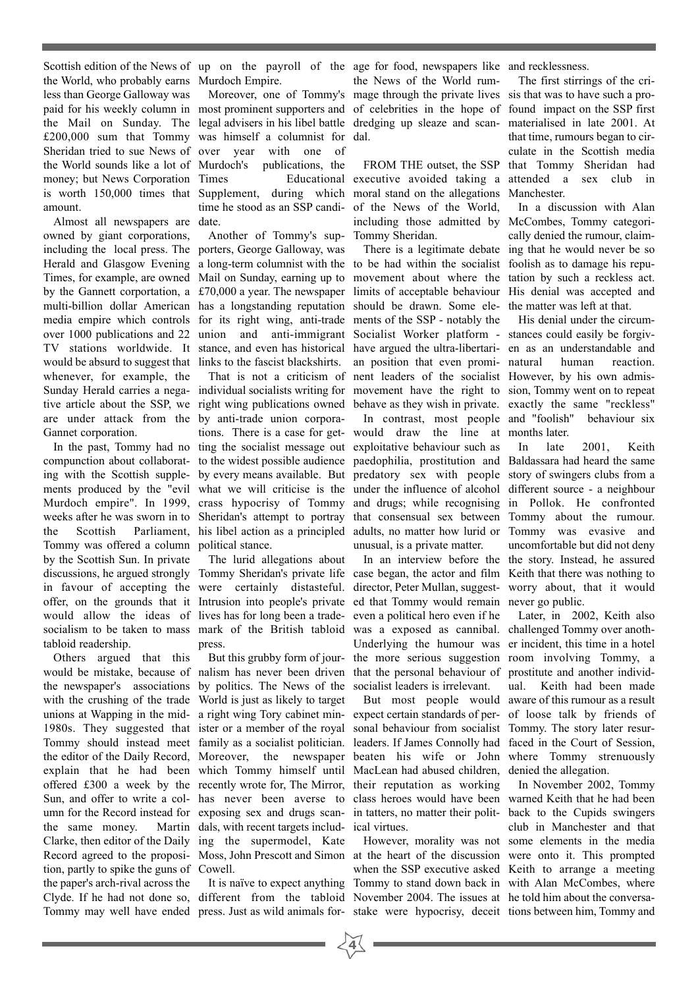Scottish edition of the News of up on the payroll of the age for food, newspapers like and recklessness. the World, who probably earns Murdoch Empire. less than George Galloway was paid for his weekly column in most prominent supporters and of celebrities in the hope of found impact on the SSP first the Mail on Sunday. The legal advisers in his libel battle dredging up sleaze and scan-materialised in late 2001. At £200,000 sum that Tommy was himself a columnist for dal. Sheridan tried to sue News of over year with one of the World sounds like a lot of money; but News Corporation Times is worth 150,000 times that Supplement, during which moral stand on the allegations Manchester. amount.

Almost all newspapers are date. owned by giant corporations, including the local press. The porters, George Galloway, was Herald and Glasgow Evening a long-term columnist with the to be had within the socialist foolish as to damage his repu-Times, for example, are owned Mail on Sunday, earning up to movement about where the tation by such a reckless act. by the Gannett corportation, a £70,000 a year. The newspaper limits of acceptable behaviour His denial was accepted and multi-billion dollar American has a longstanding reputation should be drawn. Some ele-the matter was left at that. media empire which controls for its right wing, anti-trade ments of the SSP - notably the over 1000 publications and 22 union and anti-immigrant Socialist Worker platform - stances could easily be forgiv-TV stations worldwide. It stance, and even has historical have argued the ultra-libertari-en as an understandable and would be absurd to suggest that links to the fascist blackshirts. whenever, for example, the Sunday Herald carries a nega-individual socialists writing for movement have the right to sion, Tommy went on to repeat tive article about the SSP, we right wing publications owned behave as they wish in private. exactly the same "reckless" are under attack from the by anti-trade union corpora-Gannet corporation.

Tommy was offered a column political stance. by the Scottish Sun. In private discussions, he argued strongly Tommy Sheridan's private life in favour of accepting the were certainly distasteful. would allow the ideas of lives has for long been a tradetabloid readership.

Others argued that this with the crushing of the trade World is just as likely to target the same money. Clarke, then editor of the Daily ing the supermodel, Kate tion, partly to spike the guns of Cowell. the paper's arch-rival across the

publications, the time he stood as an SSP candi-

Another of Tommy's sup-

In the past, Tommy had no ting the socialist message out exploitative behaviour such as

The lurid allegations about press.

would be mistake, because of nalism has never been driven that the personal behaviour of prostitute and another individthe newspaper's associations by politics. The News of the socialist leaders is irrelevant. unions at Wapping in the mid-a right wing Tory cabinet min-expect certain standards of per-of loose talk by friends of 1980s. They suggested that ister or a member of the royal sonal behaviour from socialist Tommy. The story later resur-Tommy should instead meet family as a socialist politician. leaders. If James Connolly had faced in the Court of Session, the editor of the Daily Record, Moreover, the newspaper beaten his wife or John where Tommy strenuously explain that he had been which Tommy himself until MacLean had abused children, denied the allegation. offered £300 a week by the recently wrote for, The Mirror, their reputation as working Sun, and offer to write a col-has never been averse to class heroes would have been warned Keith that he had been umn for the Record instead for exposing sex and drugs scan-in tatters, no matter their polit-back to the Cupids swingers Record agreed to the proposi-Moss, John Prescott and Simon at the heart of the discussion were onto it. This prompted But this grubby form of jourdals, with recent targets includ-ical virtues.

Clyde. If he had not done so, different from the tabloid November 2004. The issues at he told him about the conversa-

**4**

Moreover, one of Tommy's mage through the private lives sis that was to have such a prothe News of the World rum-

Times Educational executive avoided taking a attended a sex club in of the News of the World, including those admitted by McCombes, Tommy categori-Tommy Sheridan.

That is not a criticism of nent leaders of the socialist However, by his own admisan position that even promi-

compunction about collaborat-to the widest possible audience paedophilia, prostitution and Baldassara had heard the same ing with the Scottish supple-by every means available. But predatory sex with people story of swingers clubs from a ments produced by the "evil what we will criticise is the under the influence of alcohol different source - a neighbour Murdoch empire". In 1999, crass hypocrisy of Tommy and drugs; while recognising in Pollok. He confronted weeks after he was sworn in to Sheridan's attempt to portray that consensual sex between Tommy about the rumour. the Scottish Parliament, his libel action as a principled adults, no matter how lurid or Tommy was evasive and tions. There is a case for get-would draw the line at months later. In contrast, most people and "foolish" unusual, is a private matter.

offer, on the grounds that it Intrusion into people's private ed that Tommy would remain never go public. socialism to be taken to mass mark of the British tabloid was a exposed as cannibal. challenged Tommy over anothcase began, the actor and film Keith that there was nothing to director, Peter Mullan, suggest-worry about, that it would even a political hero even if he Underlying the humour was er incident, this time in a hotel the more serious suggestion room involving Tommy, a

It is naïve to expect anything Tommy to stand down back in with Alan McCombes, where when the SSP executive asked Keith to arrange a meeting

FROM THE outset, the SSP that Tommy Sheridan had The first stirrings of the crithat time, rumours began to circulate in the Scottish media

There is a legitimate debate ing that he would never be so In a discussion with Alan cally denied the rumour, claim-

> His denial under the circumhuman reaction. behaviour six

In an interview before the the story. Instead, he assured In late 2001, Keith uncomfortable but did not deny

But most people would aware of this rumour as a result Later, in 2002, Keith also ual. Keith had been made

Tommy may well have ended press. Just as wild animals for-stake were hypocrisy, deceit tions between him, Tommy and However, morality was not some elements in the media In November 2002, Tommy club in Manchester and that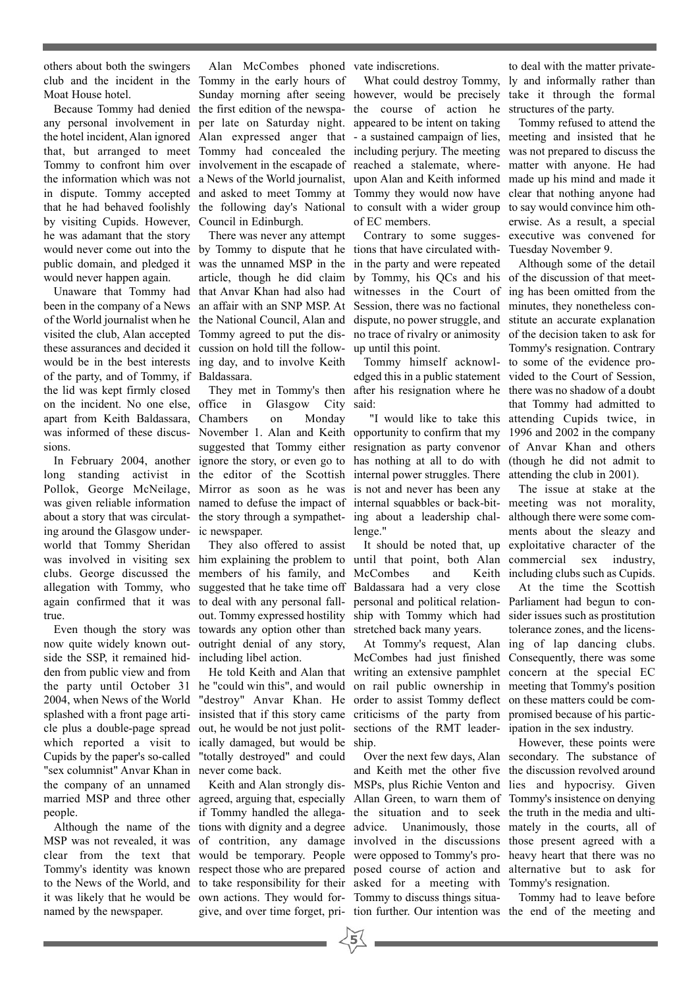others about both the swingers club and the incident in the Tommy in the early hours of Moat House hotel.

any personal involvement in per late on Saturday night. the hotel incident, Alan ignored Alan expressed anger that - a sustained campaign of lies, meeting and insisted that he that, but arranged to meet Tommy had concealed the Tommy to confront him over involvement in the escapade of the information which was not a News of the World journalist, in dispute. Tommy accepted and asked to meet Tommy at that he had behaved foolishly the following day's National by visiting Cupids. However, Council in Edinburgh. he was adamant that the story would never come out into the by Tommy to dispute that he public domain, and pledged it was the unnamed MSP in the would never happen again.

been in the company of a News an affair with an SNP MSP. At of the World journalist when he the National Council, Alan and visited the club, Alan accepted Tommy agreed to put the disthese assurances and decided it cussion on hold till the followwould be in the best interests of the party, and of Tommy, if Baldassara. the lid was kept firmly closed on the incident. No one else, apart from Keith Baldassara, Chambers on Monday was informed of these discus-November 1. Alan and Keith sions.

long standing activist in the editor of the Scottish Pollok, George McNeilage, Mirror as soon as he was was given reliable information named to defuse the impact of about a story that was circulat-the story through a sympatheting around the Glasgow under-ic newspaper. world that Tommy Sheridan was involved in visiting sex him explaining the problem to clubs. George discussed the members of his family, and allegation with Tommy, who suggested that he take time off again confirmed that it was to deal with any personal falltrue.

now quite widely known out-outright denial of any story, side the SSP, it remained hid-including libel action. den from public view and from the party until October 31 he "could win this", and would 2004, when News of the World "destroy" Anvar Khan. He splashed with a front page arti-insisted that if this story came cle plus a double-page spread out, he would be not just politwhich reported a visit to ically damaged, but would be Cupids by the paper's so-called "totally destroyed" and could "sex columnist" Anvar Khan in never come back. the company of an unnamed people.

MSP was not revealed, it was of contrition, any damage involved in the discussions those present agreed with a clear from the text that would be temporary. People were opposed to Tommy's pro-heavy heart that there was no Tommy's identity was known respect those who are prepared posed course of action and alternative but to ask for to the News of the World, and to take responsibility for their asked for a meeting with Tommy's resignation. it was likely that he would be own actions. They would for-Tommy to discuss things situanamed by the newspaper.

Because Tommy had denied the first edition of the newspa-Sunday morning after seeing however, would be precisely

Unaware that Tommy had that Anvar Khan had also had There was never any attempt article, though he did claim ing day, and to involve Keith

In February 2004, another ignore the story, or even go to in Glasgow City suggested that Tommy either

Even though the story was towards any option other than They also offered to assist out. Tommy expressed hostility

He told Keith and Alan that

Keith and Alan strongly disgive, and over time forget, pri-tion further. Our intention was the end of the meeting and

Alan McCombes phoned vate indiscretions.

What could destroy Tommy, the course of action he appeared to be intent on taking including perjury. The meeting reached a stalemate, whereupon Alan and Keith informed Tommy they would now have to consult with a wider group of EC members.

Contrary to some suggestions that have circulated within the party and were repeated by Tommy, his QCs and his of the discussion of that meetwitnesses in the Court of ing has been omitted from the Session, there was no factional dispute, no power struggle, and stitute an accurate explanation no trace of rivalry or animosity up until this point.

They met in Tommy's then after his resignation where he there was no shadow of a doubt edged this in a public statement vided to the Court of Session, said:

> opportunity to confirm that my 1996 and 2002 in the company resignation as party convenor of Anvar Khan and others has nothing at all to do with (though he did not admit to internal power struggles. There attending the club in 2001). is not and never has been any internal squabbles or back-bit-meeting was not morality, ing about a leadership chal-although there were some comlenge."

> until that point, both Alan McCombes and Baldassara had a very close personal and political relation-Parliament had begun to conship with Tommy which had sider issues such as prostitution stretched back many years.

McCombes had just finished Consequently, there was some writing an extensive pamphlet concern at the special EC on rail public ownership in meeting that Tommy's position order to assist Tommy deflect on these matters could be comcriticisms of the party from promised because of his particsections of the RMT leader-ipation in the sex industry. ship.

married MSP and three other agreed, arguing that, especially Allan Green, to warn them of Tommy's insistence on denying Although the name of the tions with dignity and a degree advice. Unanimously, those mately in the courts, all of if Tommy handled the allega-the situation and to seek the truth in the media and ultiand Keith met the other five the discussion revolved around MSPs, plus Richie Venton and lies and hypocrisy. Given

to deal with the matter privately and informally rather than take it through the formal structures of the party.

Tommy refused to attend the was not prepared to discuss the matter with anyone. He had made up his mind and made it clear that nothing anyone had to say would convince him otherwise. As a result, a special executive was convened for Tuesday November 9.

Tommy himself acknowl-to some of the evidence pro-"I would like to take this attending Cupids twice, in Although some of the detail minutes, they nonetheless conof the decision taken to ask for Tommy's resignation. Contrary that Tommy had admitted to

It should be noted that, up exploitative character of the The issue at stake at the ments about the sleazy and commercial sex industry, Keith including clubs such as Cupids.

At Tommy's request, Alan ing of lap dancing clubs. At the time the Scottish tolerance zones, and the licens-

Over the next few days, Alan secondary. The substance of However, these points were

Tommy had to leave before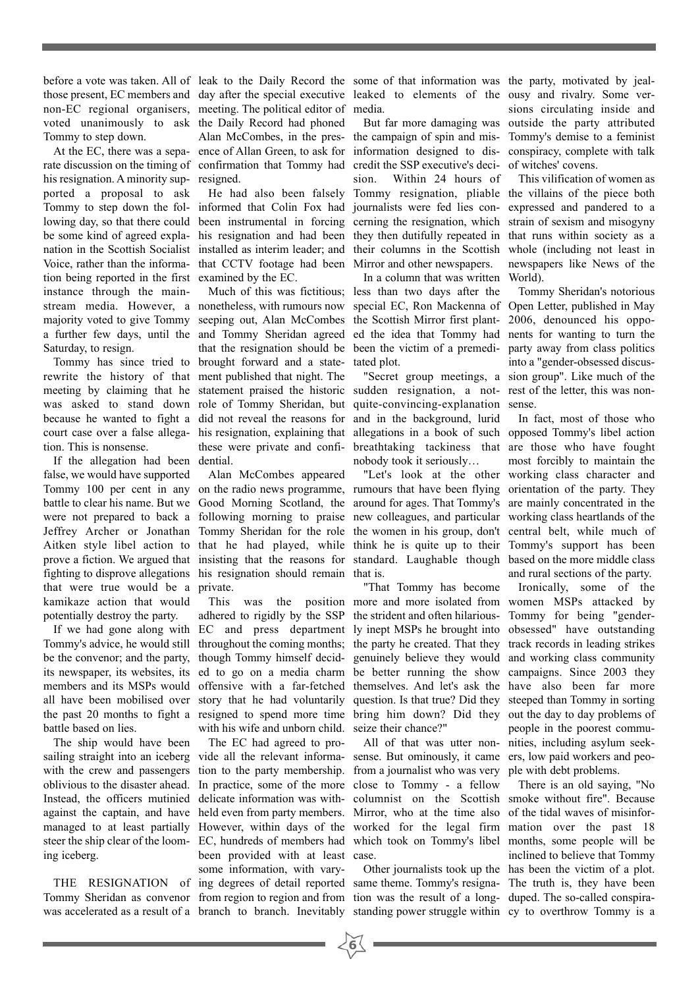before a vote was taken. All of leak to the Daily Record the some of that information was the party, motivated by jealvoted unanimously to ask the Daily Record had phoned Tommy to step down.

his resignation. A minority sup-resigned. ported a proposal to ask Tommy to step down the fol-informed that Colin Fox had journalists were fed lies conlowing day, so that there could been instrumental in forcing cerning the resignation, which be some kind of agreed expla-his resignation and had been they then dutifully repeated in nation in the Scottish Socialist installed as interim leader; and their columns in the Scottish Voice, rather than the informa-that CCTV footage had been Mirror and other newspapers. tion being reported in the first examined by the EC. instance through the mainmajority voted to give Tommy seeping out, Alan McCombes the Scottish Mirror first plant-Saturday, to resign.

rewrite the history of that ment published that night. The meeting by claiming that he statement praised the historic sudden resignation, a not-rest of the letter, this was nonwas asked to stand down role of Tommy Sheridan, but because he wanted to fight a did not reveal the reasons for court case over a false allega-his resignation, explaining that allegations in a book of such opposed Tommy's libel action tion. This is nonsense.

If the allegation had been dential. false, we would have supported fighting to disprove allegations his resignation should remain that is. that were true would be a private. kamikaze action that would potentially destroy the party.

battle based on lies.

The ship would have been sailing straight into an iceberg vide all the relevant informa-sense. But ominously, it came ers, low paid workers and peowith the crew and passengers tion to the party membership. from a journalist who was very ple with debt problems. oblivious to the disaster ahead. Instead, the officers mutinied delicate information was with-columnist on the Scottish smoke without fire". Because against the captain, and have held even from party members. Mirror, who at the time also of the tidal waves of misinformanaged to at least partially However, within days of the worked for the legal firm mation over the past 18 steer the ship clear of the loom-EC, hundreds of members had which took on Tommy's libel months, some people will be ing iceberg.

Tommy Sheridan as convenor from region to region and from tion was the result of a long-duped. The so-called conspira-

those present, EC members and day after the special executive leaked to elements of the ousy and rivalry. Some vernon-EC regional organisers, meeting. The political editor of media. At the EC, there was a sepa-ence of Allan Green, to ask for rate discussion on the timing of confirmation that Tommy had Alan McCombes, in the pres-

Tommy has since tried to brought forward and a state-tated plot. these were private and confi-

Alan McCombes appeared

with his wife and unborn child. seize their chance?"

The EC had agreed to probeen provided with at least case. some information, with vary-

He had also been falsely Tommy resignation, pliable the villains of the piece both the campaign of spin and misinformation designed to discredit the SSP executive's decision. Within 24 hours of In a column that was written

stream media. However, a nonetheless, with rumours now special EC, Ron Mackenna of Open Letter, published in May a further few days, until the and Tommy Sheridan agreed ed the idea that Tommy had nents for wanting to turn the Much of this was fictitious; less than two days after the that the resignation should be been the victim of a premedi-

> quite-convincing-explanation sense. and in the background, lurid breathtaking tackiness that are those who have fought nobody took it seriously…

Tommy 100 per cent in any on the radio news programme, rumours that have been flying orientation of the party. They battle to clear his name. But we Good Morning Scotland, the around for ages. That Tommy's are mainly concentrated in the were not prepared to back a following morning to praise new colleagues, and particular working class heartlands of the Jeffrey Archer or Jonathan Tommy Sheridan for the role the women in his group, don't central belt, while much of Aitken style libel action to that he had played, while think he is quite up to their Tommy's support has been prove a fiction. We argued that insisting that the reasons for standard. Laughable though based on the more middle class

If we had gone along with EC and press department ly inept MSPs he brought into obsessed" have outstanding Tommy's advice, he would still throughout the coming months; the party he created. That they track records in leading strikes be the convenor; and the party, though Tommy himself decid-genuinely believe they would and working class community its newspaper, its websites, its ed to go on a media charm be better running the show campaigns. Since 2003 they members and its MSPs would offensive with a far-fetched themselves. And let's ask the have also been far more all have been mobilised over story that he had voluntarily question. Is that true? Did they steeped than Tommy in sorting the past 20 months to fight a resigned to spend more time bring him down? Did they out the day to day problems of This was the position more and more isolated from women MSPs attacked by adhered to rigidly by the SSP the strident and often hilarious- Tommy for being "gender-"That Tommy has become

In practice, some of the more close to Tommy - a fellow

THE RESIGNATION of ing degrees of detail reported same theme. Tommy's resigna-The truth is, they have been

**6**

But far more damaging was outside the party attributed sions circulating inside and Tommy's demise to a feminist conspiracy, complete with talk of witches' covens.

> This vilification of women as expressed and pandered to a strain of sexism and misogyny that runs within society as a whole (including not least in newspapers like News of the World).

"Secret group meetings, a sion group". Like much of the Tommy Sheridan's notorious 2006, denounced his oppoparty away from class politics into a "gender-obsessed discus-

"Let's look at the other working class character and In fact, most of those who most forcibly to maintain the and rural sections of the party.

All of that was utter non-nities, including asylum seek-Ironically, some of the people in the poorest commu-

was accelerated as a result of a branch to branch. Inevitably standing power struggle within cy to overthrow Tommy is a Other journalists took up the has been the victim of a plot. There is an old saying, "No inclined to believe that Tommy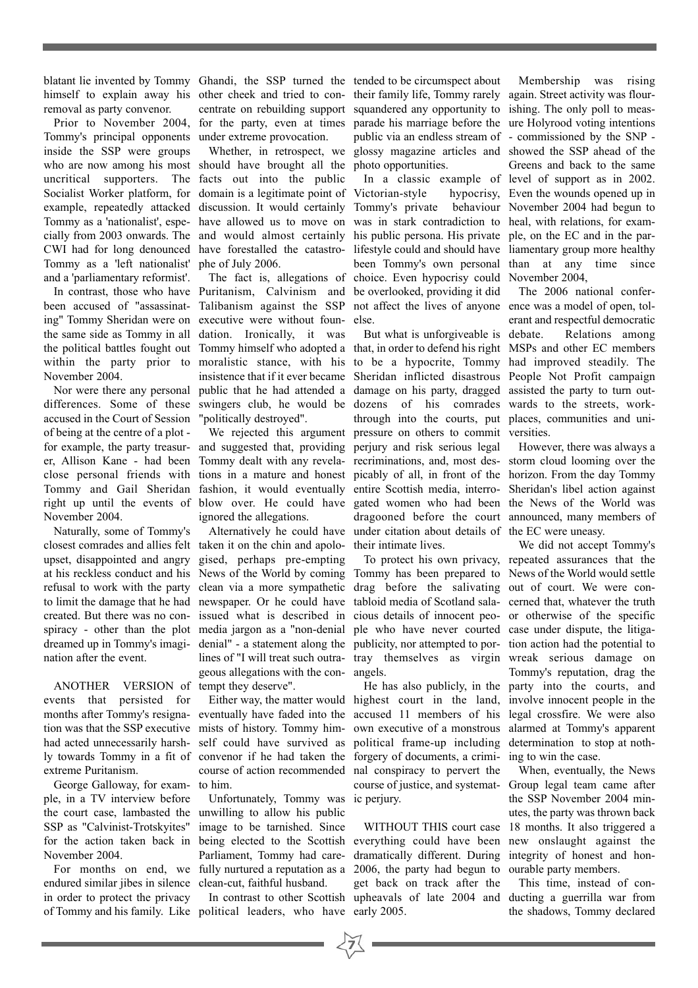blatant lie invented by Tommy Ghandi, the SSP turned the tended to be circumspect about removal as party convenor.

Tommy's principal opponents under extreme provocation. inside the SSP were groups who are now among his most should have brought all the uncritical supporters. The facts out into the public Socialist Worker platform, for domain is a legitimate point of example, repeatedly attacked discussion. It would certainly Tommy as a 'nationalist', espe-have allowed us to move on cially from 2003 onwards. The and would almost certainly CWI had for long denounced have forestalled the catastro-Tommy as a 'left nationalist' phe of July 2006. and a 'parliamentary reformist'.

been accused of "assassinat-Talibanism against the SSP ing" Tommy Sheridan were on executive were without founthe same side as Tommy in all dation. Ironically, it was the political battles fought out Tommy himself who adopted a within the party prior to moralistic stance, with his November 2004.

differences. Some of these swingers club, he would be accused in the Court of Session of being at the centre of a plot er, Allison Kane - had been Tommy dealt with any revelaclose personal friends with tions in a mature and honest November 2004.

Naturally, some of Tommy's closest comrades and allies felt taken it on the chin and apoloupset, disappointed and angry at his reckless conduct and his News of the World by coming refusal to work with the party clean via a more sympathetic to limit the damage that he had newspaper. Or he could have created. But there was no con-issued what is described in spiracy - other than the plot media jargon as a "non-denial dreamed up in Tommy's imagi-denial" - a statement along the nation after the event.

ANOTHER VERSION of tempt they deserve". events that persisted for tion was that the SSP executive mists of history. Tommy himhad acted unnecessarily harsh-self could have survived as ly towards Tommy in a fit of convenor if he had taken the extreme Puritanism.

George Galloway, for example, in a TV interview before the court case, lambasted the unwilling to allow his public SSP as "Calvinist-Trotskyites" for the action taken back in being elected to the Scottish November 2004.

endured similar jibes in silence clean-cut, faithful husband. in order to protect the privacy

Whether, in retrospect, we

In contrast, those who have Puritanism, Calvinism and Nor were there any personal public that he had attended a The fact is, allegations of insistence that if it ever became "politically destroyed".

> We rejected this argument ignored the allegations.

gised, perhaps pre-empting lines of "I will treat such outrageous allegations with the con-

months after Tommy's resigna-eventually have faded into the accused 11 members of his legal crossfire. We were also course of action recommended to him.

For months on end, we fully nurtured a reputation as a Unfortunately, Tommy was image to be tarnished. Since Parliament, Tommy had care-

of Tommy and his family. Like political leaders, who have early 2005.

**7**

himself to explain away his other cheek and tried to con- their family life, Tommy rarely again. Street activity was flour-Prior to November 2004, for the party, even at times parade his marriage before the ure Holyrood voting intentions centrate on rebuilding support squandered any opportunity to ishing. The only poll to measpublic via an endless stream of - commissioned by the SNP glossy magazine articles and showed the SSP ahead of the photo opportunities.

> Victorian-style Tommy's private behaviour November 2004 had begun to was in stark contradiction to heal, with relations, for examhis public persona. His private ple, on the EC and in the parlifestyle could and should have liamentary group more healthy been Tommy's own personal than at any time since choice. Even hypocrisy could November 2004, be overlooked, providing it did not affect the lives of anyone ence was a model of open, tolelse.

for example, the party treasur-and suggested that, providing perjury and risk serious legal However, there was always a Tommy and Gail Sheridan fashion, it would eventually entire Scottish media, interro-Sheridan's libel action against right up until the events of blow over. He could have gated women who had been the News of the World was Alternatively he could have under citation about details of the EC were uneasy. But what is unforgiveable is debate. that, in order to defend his right MSPs and other EC members to be a hypocrite, Tommy had improved steadily. The Sheridan inflicted disastrous People Not Profit campaign damage on his party, dragged assisted the party to turn outdozens of his comrades wards to the streets, workthrough into the courts, put places, communities and unipressure on others to commit versities. recriminations, and, most des-storm cloud looming over the picably of all, in front of the horizon. From the day Tommy dragooned before the court announced, many members of their intimate lives.

> Tommy has been prepared to News of the World would settle drag before the salivating out of court. We were contabloid media of Scotland sala-cerned that, whatever the truth cious details of innocent peo-or otherwise of the specific ple who have never courted case under dispute, the litigapublicity, nor attempted to por-tion action had the potential to tray themselves as virgin wreak serious damage on angels.

Either way, the matter would highest court in the land, involve innocent people in the own executive of a monstrous alarmed at Tommy's apparent political frame-up including forgery of documents, a criminal conspiracy to pervert the course of justice, and systematic perjury.

In contrast to other Scottish upheavals of late 2004 and ducting a guerrilla war from everything could have been new onslaught against the dramatically different. During integrity of honest and hon-2006, the party had begun to ourable party members. get back on track after the

In a classic example of level of support as in 2002. Membership was rising Greens and back to the same hypocrisy, Even the wounds opened up in

> The 2006 national confererant and respectful democratic Relations among

To protect his own privacy, repeated assurances that the He has also publicly, in the party into the courts, and We did not accept Tommy's Tommy's reputation, drag the determination to stop at nothing to win the case.

WITHOUT THIS court case 18 months. It also triggered a When, eventually, the News Group legal team came after the SSP November 2004 minutes, the party was thrown back

> This time, instead of conthe shadows, Tommy declared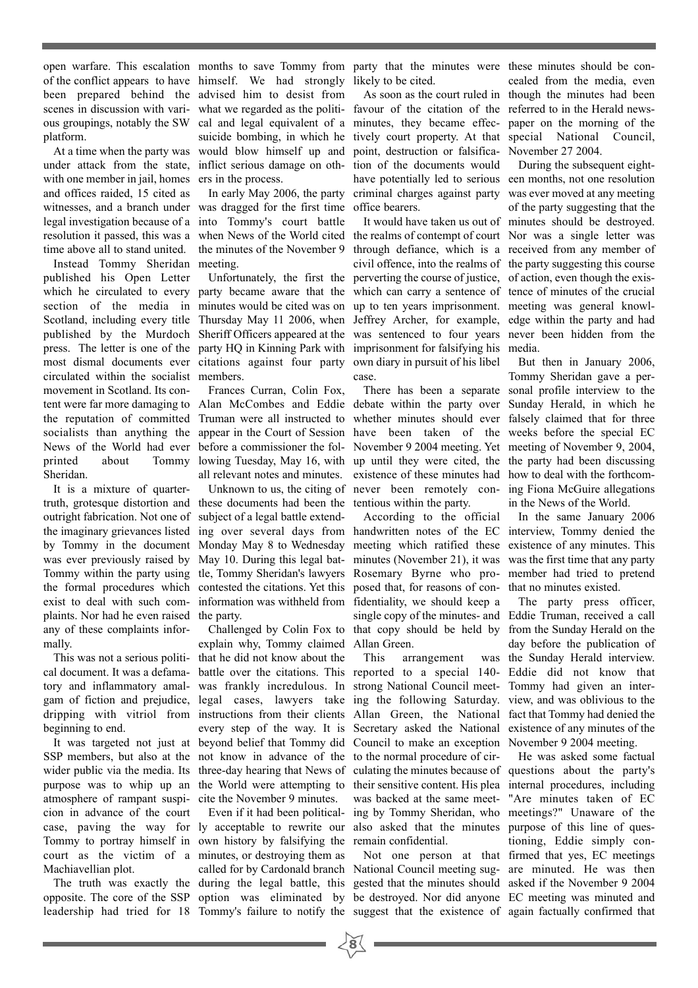open warfare. This escalation months to save Tommy from party that the minutes were these minutes should be conof the conflict appears to have himself. We had strongly likely to be cited. been prepared behind the advised him to desist from scenes in discussion with vari- what we regarded as the politi-favour of the citation of the referred to in the Herald newsous groupings, notably the SW cal and legal equivalent of a minutes, they became effec-paper on the morning of the platform.

under attack from the state, inflict serious damage on oth-tion of the documents would with one member in jail, homes ers in the process. and offices raided, 15 cited as witnesses, and a branch under was dragged for the first time legal investigation because of a into Tommy's court battle time above all to stand united.

Instead Tommy Sheridan meeting. published his Open Letter circulated within the socialist members. movement in Scotland. Its con-Sheridan.

It is a mixture of quarteroutright fabrication. Not one of subject of a legal battle extendthe formal procedures which contested the citations. Yet this exist to deal with such complaints. Nor had he even raised the party. any of these complaints informally.

beginning to end.

SSP members, but also at the not know in advance of the to the normal procedure of cirwider public via the media. Its three-day hearing that News of culating the minutes because of questions about the party's purpose was to whip up an the World were attempting to their sensitive content. His plea internal procedures, including atmosphere of rampant suspi-cite the November 9 minutes. cion in advance of the court case, paving the way for ly acceptable to rewrite our court as the victim of a minutes, or destroying them as Machiavellian plot.

At a time when the party was would blow himself up and point, destruction or falsifica-November 27 2004.

In early May 2006, the party

which he circulated to every party became aware that the which can carry a sentence of tence of minutes of the crucial section of the media in minutes would be cited was on up to ten years imprisonment. meeting was general knowl-Scotland, including every title Thursday May 11 2006, when Jeffrey Archer, for example, edge within the party and had published by the Murdoch Sheriff Officers appeared at the was sentenced to four years never been hidden from the press. The letter is one of the party HQ in Kinning Park with imprisonment for falsifying his media. most dismal documents ever citations against four party own diary in pursuit of his libel

Frances Curran, Colin Fox,

truth, grotesque distortion and these documents had been the tentious within the party. was ever previously raised by May 10. During this legal bat-minutes (November 21), it was information was withheld from fidentiality, we should keep a

This was not a serious politi-that he did not know about the explain why, Tommy claimed Allan Green.

Tommy to portray himself in own history by falsifying the remain confidential. The truth was exactly the during the legal battle, this gested that the minutes should asked if the November 9 2004 opposite. The core of the SSP option was eliminated by be destroyed. Nor did anyone EC meeting was minuted and leadership had tried for 18 Tommy's failure to notify the suggest that the existence of again factually confirmed that Even if it had been political-

suicide bombing, in which he tively court property. At that special National Council, have potentially led to serious een months, not one resolution criminal charges against party was ever moved at any meeting office bearers.

resolution it passed, this was a when News of the World cited the realms of contempt of court Nor was a single letter was the minutes of the November 9 through defiance, which is a received from any member of Unfortunately, the first the perverting the course of justice, of action, even though the exiscivil offence, into the realms of the party suggesting this course case.

tent were far more damaging to Alan McCombes and Eddie debate within the party over Sunday Herald, in which he the reputation of committed Truman were all instructed to whether minutes should ever falsely claimed that for three socialists than anything the appear in the Court of Session have been taken of the weeks before the special EC News of the World had ever before a commissioner the fol-November 9 2004 meeting. Yet meeting of November 9, 2004, printed about Tommy lowing Tuesday, May 16, with up until they were cited, the the party had been discussing all relevant notes and minutes. existence of these minutes had how to deal with the forthcom-Unknown to us, the citing of never been remotely con- ing Fiona McGuire allegations

the imaginary grievances listed ing over several days from handwritten notes of the EC interview, Tommy denied the by Tommy in the document Monday May 8 to Wednesday meeting which ratified these existence of any minutes. This Tommy within the party using tle, Tommy Sheridan's lawyers Rosemary Byrne who pro- member had tried to pretend Challenged by Colin Fox to that copy should be held by from the Sunday Herald on the According to the official posed that, for reasons of con-that no minutes existed. single copy of the minutes- and Eddie Truman, received a call

cal document. It was a defama-battle over the citations. This reported to a special 140- Eddie did not know that tory and inflammatory amal-was frankly incredulous. In strong National Council meet-Tommy had given an intergam of fiction and prejudice, legal cases, lawyers take ing the following Saturday. view, and was oblivious to the dripping with vitriol from instructions from their clients Allan Green, the National fact that Tommy had denied the It was targeted not just at beyond belief that Tommy did Council to make an exception November 9 2004 meeting. every step of the way. It is Secretary asked the National existence of any minutes of the This arrangement was backed at the same meet-"Are minutes taken of EC ing by Tommy Sheridan, who meetings?" Unaware of the also asked that the minutes purpose of this line of ques-

called for by Cardonald branch National Council meeting sug-are minuted. He was then

**8**

As soon as the court ruled in though the minutes had been cealed from the media, even

It would have taken us out of minutes should be destroyed. During the subsequent eightof the party suggesting that the

There has been a separate sonal profile interview to the But then in January 2006, Tommy Sheridan gave a perin the News of the World.

> In the same January 2006 was the first time that any party

The party press officer, day before the publication of was the Sunday Herald interview.

Not one person at that firmed that yes, EC meetings He was asked some factual tioning, Eddie simply con-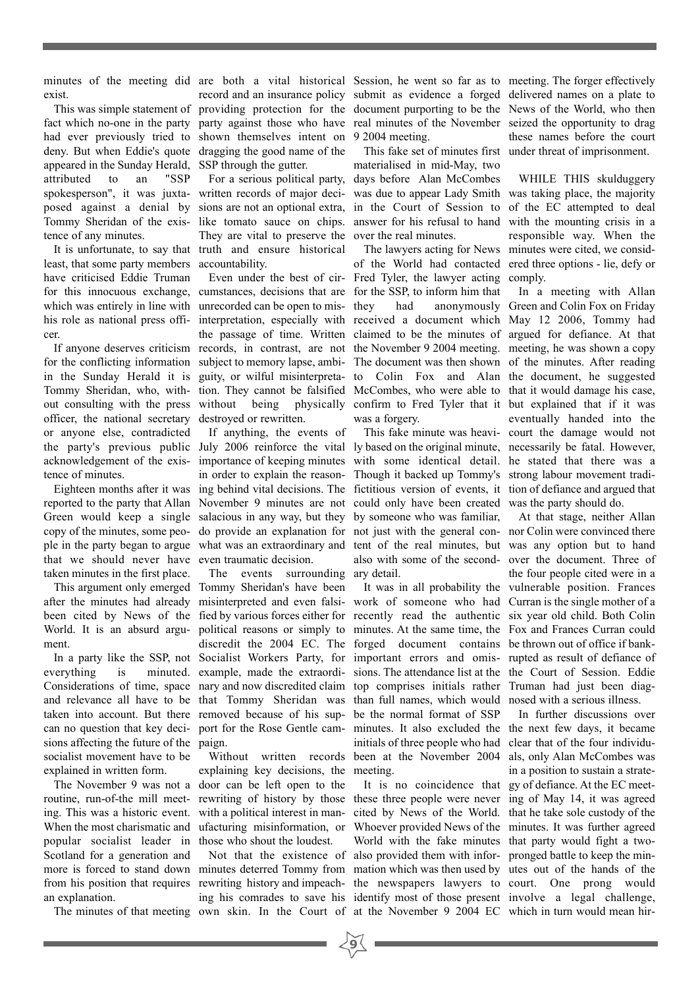minutes of the meeting did are both a vital historical Session, he went so far as to meeting. The forger effectively exist.

fact which no-one in the party party against those who have real minutes of the November seized the opportunity to drag had ever previously tried to shown themselves intent on 9 2004 meeting. deny. But when Eddie's quote dragging the good name of the appeared in the Sunday Herald, SSP through the gutter. attributed to an "SSP spokesperson", it was juxta-written records of major deciposed against a denial by sions are not an optional extra, Tommy Sheridan of the exis-like tomato sauce on chips. tence of any minutes.

least, that some party members accountability. have criticised Eddie Truman which was entirely in line with unrecorded can be open to miscer.

for the conflicting information subject to memory lapse, ambiin the Sunday Herald it is guity, or wilful misinterpreta-Tommy Sheridan, who, with-tion. They cannot be falsified out consulting with the press without being physically officer, the national secretary destroyed or rewritten. or anyone else, contradicted acknowledgement of the exis-importance of keeping minutes tence of minutes.

reported to the party that Allan November 9 minutes are not Green would keep a single salacious in any way, but they ple in the party began to argue what was an extraordinary and that we should never have even traumatic decision. taken minutes in the first place.

after the minutes had already misinterpreted and even falsibeen cited by News of the fied by various forces either for World. It is an absurd argu-political reasons or simply to ment.

everything is Considerations of time, space nary and now discredited claim and relevance all have to be that Tommy Sheridan was taken into account. But there removed because of his supcan no question that key deci-port for the Rose Gentle camsions affecting the future of the paign. socialist movement have to be explained in written form.

routine, run-of-the mill meet-rewriting of history by those ing. This was a historic event. with a political interest in man-When the most charismatic and ufacturing misinformation, or popular socialist leader in those who shout the loudest. Scotland for a generation and an explanation.

It is unfortunate, to say that truth and ensure historical They are vital to preserve the

for this innocuous exchange, cumstances, decisions that are for the SSP, to inform him that If anyone deserves criticism records, in contrast, are not Even under the best of cir-

Eighteen months after it was ing behind vital decisions. The If anything, the events of in order to explain the reason-

This argument only emerged Tommy Sheridan's have been In a party like the SSP, not Socialist Workers Party, for The events discredit the 2004 EC. The minuted. example, made the extraordisurrounding ary detail.

The November 9 was not a door can be left open to the Without written records explaining key decisions, the

The minutes of that meeting own skin. In the Court of at the November 9 2004 EC which in turn would mean hir-Not that the existence of

This was simple statement of providing protection for the document purporting to be the News of the World, who then record and an insurance policy submit as evidence a forged delivered names on a plate to

> For a serious political party, days before Alan McCombes materialised in mid-May, two was due to appear Lady Smith was taking place, the majority in the Court of Session to of the EC attempted to deal answer for his refusal to hand with the mounting crisis in a over the real minutes.

his role as national press offi- interpretation, especially with received a document which May 12 2006, Tommy had the passage of time. Written claimed to be the minutes of argued for defiance. At that of the World had contacted ered three options - lie, defy or Fred Tyler, the lawyer acting comply. they had anonymously Green and Colin Fox on Friday the November 9 2004 meeting. meeting, he was shown a copy The document was then shown of the minutes. After reading to Colin Fox and Alan the document, he suggested McCombes, who were able to that it would damage his case, confirm to Fred Tyler that it but explained that if it was was a forgery.

the party's previous public July 2006 reinforce the vital ly based on the original minute, necessarily be fatal. However, copy of the minutes, some peo-do provide an explanation for not just with the general con-nor Colin were convinced there with some identical detail. he stated that there was a Though it backed up Tommy's strong labour movement tradifictitious version of events, it tion of defiance and argued that could only have been created was the party should do. by someone who was familiar, tent of the real minutes, but was any option but to hand also with some of the second-over the document. Three of

> work of someone who had Curran is the single mother of a recently read the authentic six year old child. Both Colin minutes. At the same time, the Fox and Frances Curran could forged document contains be thrown out of office if bankimportant errors and omis-rupted as result of defiance of sions. The attendance list at the the Court of Session. Eddie top comprises initials rather Truman had just been diagthan full names, which would nosed with a serious illness. be the normal format of SSP minutes. It also excluded the the next few days, it became initials of three people who had clear that of the four individubeen at the November 2004 als, only Alan McCombes was meeting.

more is forced to stand down minutes deterred Tommy from mation which was then used by utes out of the hands of the from his position that requires rewriting history and impeach-the newspapers lawyers to court. One prong would ing his comrades to save his identify most of those present involve a legal challenge, these three people were never ing of May 14, it was agreed cited by News of the World. that he take sole custody of the Whoever provided News of the minutes. It was further agreed World with the fake minutes that party would fight a twoalso provided them with infor-pronged battle to keep the min-

**9**

This fake set of minutes first under threat of imprisonment. these names before the court

The lawyers acting for News minutes were cited, we consid-WHILE THIS skulduggery responsible way. When the

This fake minute was heavi-court the damage would not In a meeting with Allan eventually handed into the

It was in all probability the vulnerable position. Frances At that stage, neither Allan the four people cited were in a

It is no coincidence that gy of defiance. At the EC meet-In further discussions over in a position to sustain a strate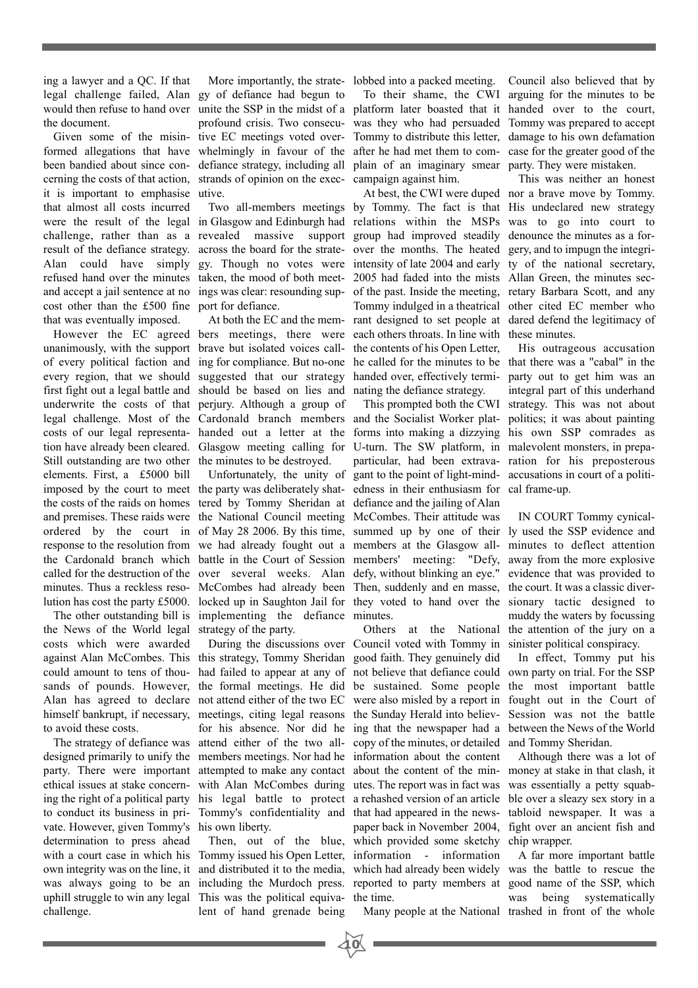ing a lawyer and a QC. If that legal challenge failed, Alan gy of defiance had begun to would then refuse to hand over unite the SSP in the midst of a platform later boasted that it handed over to the court, the document.

formed allegations that have been bandied about since conit is important to emphasise utive. that almost all costs incurred cost other than the £500 fine port for defiance. that was eventually imposed.

unanimously, with the support brave but isolated voices callfirst fight out a legal battle and should be based on lies and nating the defiance strategy. underwrite the costs of that perjury. Although a group of Still outstanding are two other the minutes to be destroyed. elements. First, a £5000 bill

the News of the World legal strategy of the party. costs which were awarded against Alan McCombes. This this strategy, Tommy Sheridan good faith. They genuinely did could amount to tens of thou-had failed to appear at any of not believe that defiance could own party on trial. For the SSP sands of pounds. However, the formal meetings. He did be sustained. Some people the most important battle Alan has agreed to declare not attend either of the two EC were also misled by a report in fought out in the Court of himself bankrupt, if necessary, meetings, citing legal reasons the Sunday Herald into believ-Session was not the battle to avoid these costs.

designed primarily to unify the members meetings. Nor had he information about the content to conduct its business in pri-Tommy's confidentiality and that had appeared in the newsvate. However, given Tommy's his own liberty. determination to press ahead challenge.

Given some of the misin-tive EC meetings voted overcerning the costs of that action, strands of opinion on the exec-campaign against him. whelmingly in favour of the defiance strategy, including all

and accept a jail sentence at no ings was clear: resounding sup-

However the EC agreed bers meetings, there were At both the EC and the mem-

imposed by the court to meet the party was deliberately shat-edness in their enthusiasm for cal frame-up. the costs of the raids on homes tered by Tommy Sheridan at defiance and the jailing of Alan and premises. These raids were the National Council meeting McCombes. Their attitude was ordered by the court in of May 28 2006. By this time, summed up by one of their ly used the SSP evidence and response to the resolution from we had already fought out a members at the Glasgow all-minutes to deflect attention the Cardonald branch which battle in the Court of Session members' meeting: "Defy, called for the destruction of the over several weeks. Alan defy, without blinking an eye." evidence that was provided to minutes. Thus a reckless reso- McCombes had already been Then, suddenly and en masse, the court. It was a classic diverlution has cost the party £5000. locked up in Saughton Jail for they voted to hand over the sionary tactic designed to The other outstanding bill is implementing the defiance minutes. Unfortunately, the unity of

with a court case in which his Tommy issued his Open Letter, information - information own integrity was on the line, it and distributed it to the media, which had already been widely was the battle to rescue the was always going to be an including the Murdoch press. reported to party members at good name of the SSP, which uphill struggle to win any legal This was the political equiva-the time. lent of hand grenade being

More importantly, the strate-lobbed into a packed meeting. Council also believed that by

profound crisis. Two consecu-was they who had persuaded Tommy was prepared to accept Tommy to distribute this letter, damage to his own defamation after he had met them to com-case for the greater good of the plain of an imaginary smear party. They were mistaken.

were the result of the legal in Glasgow and Edinburgh had relations within the MSPs was to go into court to challenge, rather than as a revealed massive support group had improved steadily denounce the minutes as a forresult of the defiance strategy. across the board for the strate-over the months. The heated gery, and to impugn the integri-Alan could have simply gy. Though no votes were intensity of late 2004 and early ty of the national secretary, refused hand over the minutes taken, the mood of both meet- 2005 had faded into the mists Allan Green, the minutes secof every political faction and ing for compliance. But no-one he called for the minutes to be that there was a "cabal" in the every region, that we should suggested that our strategy handed over, effectively termi-party out to get him was an Two all-members meetings by Tommy. The fact is that His undeclared new strategy of the past. Inside the meeting, retary Barbara Scott, and any Tommy indulged in a theatrical other cited EC member who rant designed to set people at dared defend the legitimacy of each others throats. In line with these minutes. the contents of his Open Letter,

legal challenge. Most of the Cardonald branch members and the Socialist Worker plat-politics; it was about painting costs of our legal representa-handed out a letter at the forms into making a dizzying his own SSP comrades as tion have already been cleared. Glasgow meeting calling for U-turn. The SW platform, in malevolent monsters, in prepaparticular, had been extrava-ration for his preposterous gant to the point of light-mind-accusations in court of a politi-

The strategy of defiance was attend either of the two all-copy of the minutes, or detailed and Tommy Sheridan. party. There were important attempted to make any contact about the content of the min- money at stake in that clash, it ethical issues at stake concern- with Alan McCombes during utes. The report was in fact was was essentially a petty squabing the right of a political party his legal battle to protect a rehashed version of an article ble over a sleazy sex story in a During the discussions over Council voted with Tommy in sinister political conspiracy. for his absence. Nor did he ing that the newspaper had a between the News of the World Then, out of the blue, which provided some sketchy chip wrapper. paper back in November 2004, fight over an ancient fish and

**10**

To their shame, the CWI arguing for the minutes to be

At best, the CWI were duped nor a brave move by Tommy. This was neither an honest

This prompted both the CWI strategy. This was not about His outrageous accusation integral part of this underhand

Others at the National the attention of the jury on a IN COURT Tommy cynicalaway from the more explosive muddy the waters by focussing

In effect, Tommy put his

Although there was a lot of tabloid newspaper. It was a

Many people at the National trashed in front of the whole A far more important battle was being systematically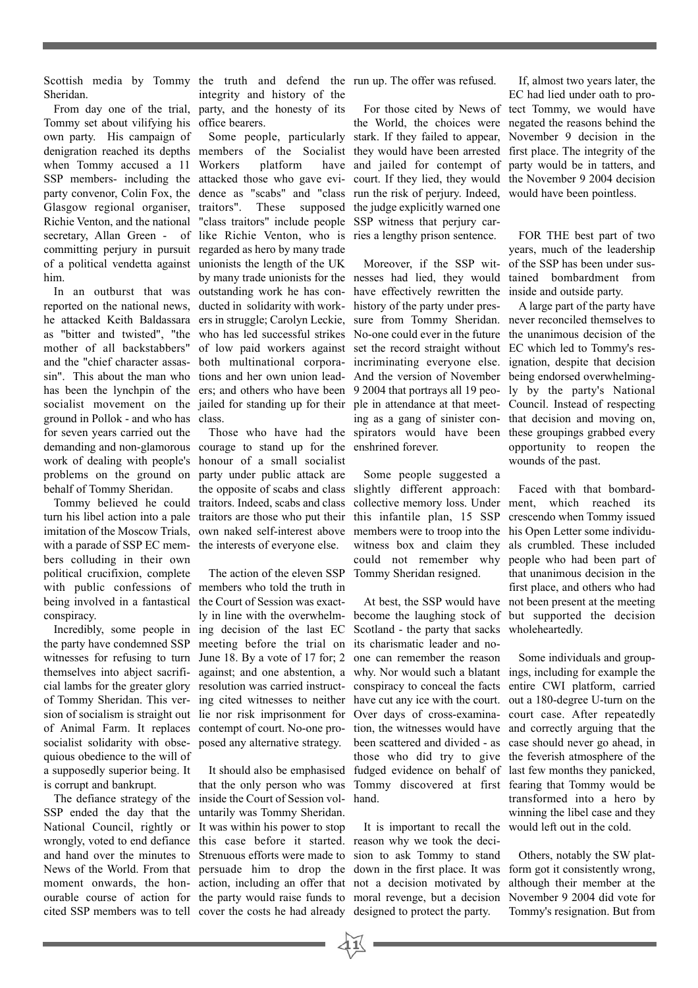Scottish media by Tommy the truth and defend the run up. The offer was refused. Sheridan.

Tommy set about vilifying his office bearers. own party. His campaign of denigration reached its depths members of the Socialist when Tommy accused a 11 SSP members- including the attacked those who gave eviparty convenor, Colin Fox, the dence as "scabs" and "class Glasgow regional organiser, traitors". Richie Venton, and the national secretary, Allan Green - of like Richie Venton, who is committing perjury in pursuit regarded as hero by many trade of a political vendetta against unionists the length of the UK him.

reported on the national news, ducted in solidarity with workhe attacked Keith Baldassara ers in struggle; Carolyn Leckie, as "bitter and twisted", "the who has led successful strikes mother of all backstabbers" and the "chief character assassin". This about the man who has been the lynchpin of the ers; and others who have been socialist movement on the jailed for standing up for their ground in Pollok - and who has class. for seven years carried out the demanding and non-glamorous work of dealing with people's problems on the ground on behalf of Tommy Sheridan.

turn his libel action into a pale traitors are those who put their imitation of the Moscow Trials, own naked self-interest above with a parade of SSP EC members colluding in their own political crucifixion, complete with public confessions of members who told the truth in being involved in a fantastical the Court of Session was exactconspiracy.

the party have condemned SSP meeting before the trial on witnesses for refusing to turn June 18. By a vote of 17 for; 2 themselves into abject sacrifi-against; and one abstention, a cial lambs for the greater glory resolution was carried instructof Tommy Sheridan. This ver-ing cited witnesses to neither have cut any ice with the court. out a 180-degree U-turn on the sion of socialism is straight out lie nor risk imprisonment for of Animal Farm. It replaces contempt of court. No-one prosocialist solidarity with obse-posed any alternative strategy. quious obedience to the will of a supposedly superior being. It is corrupt and bankrupt.

SSP ended the day that the untarily was Tommy Sheridan. National Council, rightly or It was within his power to stop wrongly, voted to end defiance this case before it started. reason why we took the deciand hand over the minutes to Strenuous efforts were made to News of the World. From that persuade him to drop the down in the first place. It was moment onwards, the hon-action, including an offer that not a decision motivated by ourable course of action for the party would raise funds to moral revenge, but a decision

From day one of the trial, party, and the honesty of its integrity and history of the

In an outburst that was outstanding work he has con-Workers platform have These supposed "class traitors" include people of low paid workers against both multinational corporations and her own union lead-

Tommy believed he could traitors. Indeed, scabs and class Those who have had the courage to stand up for the honour of a small socialist party under public attack are the opposite of scabs and class the interests of everyone else.

Incredibly, some people in ing decision of the last EC The action of the eleven SSP ly in line with the overwhelm-

The defiance strategy of the inside the Court of Session volcited SSP members was to tell cover the costs he had already designed to protect the party. It should also be emphasised that the only person who was

Some people, particularly stark. If they failed to appear, For those cited by News of the World, the choices were they would have been arrested and jailed for contempt of court. If they lied, they would run the risk of perjury. Indeed, the judge explicitly warned one SSP witness that perjury carries a lengthy prison sentence.

by many trade unionists for the nesses had lied, they would tained bombardment from Moreover, if the SSP withave effectively rewritten the inside and outside party. history of the party under pressure from Tommy Sheridan. never reconciled themselves to No-one could ever in the future the unanimous decision of the set the record straight without EC which led to Tommy's resincriminating everyone else. And the version of November being endorsed overwhelming-9 2004 that portrays all 19 peo-ly by the party's National ple in attendance at that meet-Council. Instead of respecting ing as a gang of sinister con-that decision and moving on, spirators would have been these groupings grabbed every enshrined forever.

> Some people suggested a slightly different approach: collective memory loss. Under ment, which reached its this infantile plan, 15 SSP members were to troop into the witness box and claim they could not remember why Tommy Sheridan resigned.

> become the laughing stock of but supported the decision Scotland - the party that sacks its charismatic leader and noone can remember the reason why. Nor would such a blatant ings, including for example the conspiracy to conceal the facts Over days of cross-examina-court case. After repeatedly tion, the witnesses would have and correctly arguing that the been scattered and divided - as case should never go ahead, in those who did try to give the feverish atmosphere of the fudged evidence on behalf of last few months they panicked, Tommy discovered at first fearing that Tommy would be hand.

It is important to recall the sion to ask Tommy to stand

**11**

If, almost two years later, the EC had lied under oath to protect Tommy, we would have negated the reasons behind the November 9 decision in the first place. The integrity of the party would be in tatters, and the November 9 2004 decision would have been pointless.

FOR THE best part of two years, much of the leadership of the SSP has been under sus-

A large part of the party have ignation, despite that decision opportunity to reopen the wounds of the past.

At best, the SSP would have not been present at the meeting Faced with that bombardcrescendo when Tommy issued his Open Letter some individuals crumbled. These included people who had been part of that unanimous decision in the first place, and others who had wholeheartedly.

> Some individuals and groupentire CWI platform, carried transformed into a hero by winning the libel case and they would left out in the cold.

Others, notably the SW platform got it consistently wrong, although their member at the November 9 2004 did vote for Tommy's resignation. But from